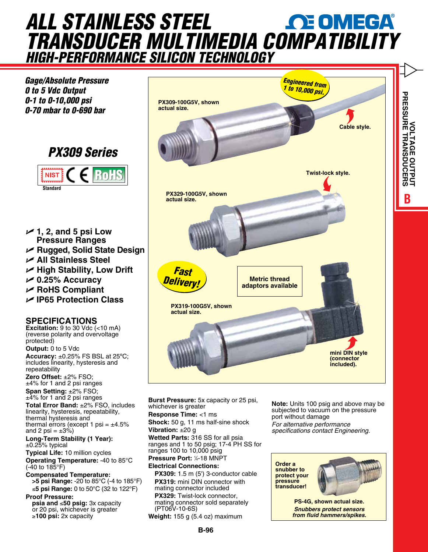## *all stainless steel transducer multimedia [compatibility](www.omega.com) High-Performance Silicon technology*

*Gage/Absolute Pressure 0 to 5 Vdc Output 0-1 to 0-10,000 psi 0-70 mbar to 0-690 bar*





- U **1, 2, and 5 psi Low Pressure Ranges**
- U **Rugged, Solid State Design**
- U **All Stainless Steel**
- U **High Stability, Low Drift**
- U **0.25% Accuracy**
- U **RoHS Compliant**
- U **IP65 Protection Class**

## **specifications**

**Excitation:** 9 to 30 Vdc (<10 mA) (reverse polarity and overvoltage protected)

**Output:** 0 to 5 Vdc **Accuracy:** ±0.25% FS BSL at 25ºC; includes linearity, hysteresis and repeatability

**Zero Offset:** ±2% FSO; ±4% for 1 and 2 psi ranges

**Span Setting:** ±2% FSO; ±4% for 1 and 2 psi ranges **Total Error Band:** ±2% FSO, includes

linearity, hysteresis, repeatability, thermal hysteresis and thermal errors (except 1 psi =  $\pm$ 4.5% and 2 psi =  $\pm 3\%$ )

**Long-Term Stability (1 Year):**  $\pm$ 0.25% typical

**Typical Life:** 10 million cycles **Operating Temperature:** -40 to 85°C (-40 to 185°F)

**Compensated Temperature: >5 psi Range:** -20 to 85°C (-4 to 185°F) ≤**5 psi Range:** 0 to 50°C (32 to 122°F) **Proof Pressure:**

**psia and** ≤**50 psig:** 3x capacity or 20 psi, whichever is greater ≥**100 psi:** 2x capacity



**Burst Pressure:** 5x capacity or 25 psi, whichever is greater **Response Time:** <1 ms **Shock:** 50 g, 11 ms half-sine shock **Vibration:** ±20 g **Wetted Parts:** 316 SS for all psia ranges and 1 to 50 psig; 17-4 PH SS for ranges 100 to 10,000 psig **Pressure Port: 1/4-18 MNPT Electrical Connections: PX309:** 1.5 m (5') 3-conductor cable

**PX319:** mini DIN connector with mating connector included **PX329:** Twist-lock connector, mating connector sold separately (PT06V-10-6S) **Weight:** 155 g (5.4 oz) maximum

**Note:** Units 100 psig and above may be subjected to vacuum on the pressure port without damage *For alternative performance specifications contact Engineering.*

**Order a snubber to protect your pressure transducer!**



**BVOLTAGE OUTPUT PRESSURE TRANSDUCERS**

**TURPO DE COLTAGE OUTPUT** 

**PS-4G, shown actual size.** *Snubbers protect sensors from fluid hammers/spikes.*